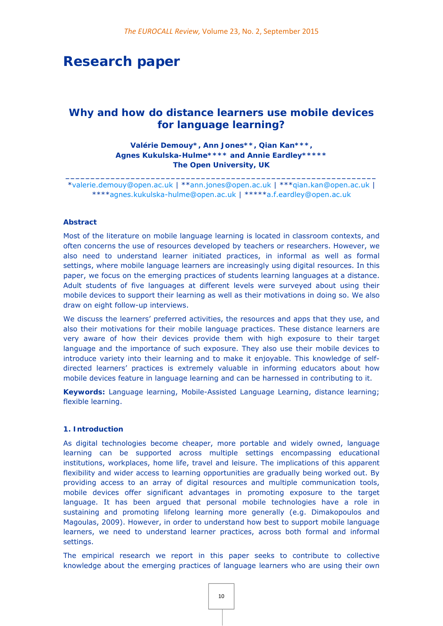# **Research paper**

# *Why and how do distance learners use mobile devices for language learning?*

**Valérie Demouy\*, Ann Jones\*\*, Qian Kan\*\*\*, Agnes Kukulska-Hulme\*\*\*\* and Annie Eardley\*\*\*\*\* The Open University, UK** 

**\_\_\_\_\_\_\_\_\_\_\_\_\_\_\_\_\_\_\_\_\_\_\_\_\_\_\_\_\_\_\_\_\_\_\_\_\_\_\_\_\_\_\_\_\_\_\_\_\_\_\_\_\_\_\_\_\_\_\_\_\_\_**  \*valerie.demouy@open.ac.uk | \*\*ann.jones@open.ac.uk | \*\*\*qian.kan@open.ac.uk | \*\*\*\*agnes.kukulska-hulme@open.ac.uk | \*\*\*\*\*a.f.eardley@open.ac.uk

#### **Abstract**

Most of the literature on mobile language learning is located in classroom contexts, and often concerns the use of resources developed by teachers or researchers. However, we also need to understand learner initiated practices, in informal as well as formal settings, where mobile language learners are increasingly using digital resources. In this paper, we focus on the emerging practices of students learning languages at a distance. Adult students of five languages at different levels were surveyed about using their mobile devices to support their learning as well as their motivations in doing so. We also draw on eight follow-up interviews.

We discuss the learners' preferred activities, the resources and apps that they use, and also their motivations for their mobile language practices. These distance learners are very aware of how their devices provide them with high exposure to their target language and the importance of such exposure. They also use their mobile devices to introduce variety into their learning and to make it enjoyable. This knowledge of selfdirected learners' practices is extremely valuable in informing educators about how mobile devices feature in language learning and can be harnessed in contributing to it.

**Keywords:** Language learning, Mobile-Assisted Language Learning, distance learning; flexible learning.

#### **1. Introduction**

As digital technologies become cheaper, more portable and widely owned, language learning can be supported across multiple settings encompassing educational institutions, workplaces, home life, travel and leisure. The implications of this apparent flexibility and wider access to learning opportunities are gradually being worked out. By providing access to an array of digital resources and multiple communication tools, mobile devices offer significant advantages in promoting exposure to the target language. It has been argued that personal mobile technologies have a role in sustaining and promoting lifelong learning more generally (e.g. Dimakopoulos and Magoulas, 2009). However, in order to understand how best to support mobile language learners, we need to understand learner practices, across both formal and informal settings.

The empirical research we report in this paper seeks to contribute to collective knowledge about the emerging practices of language learners who are using their own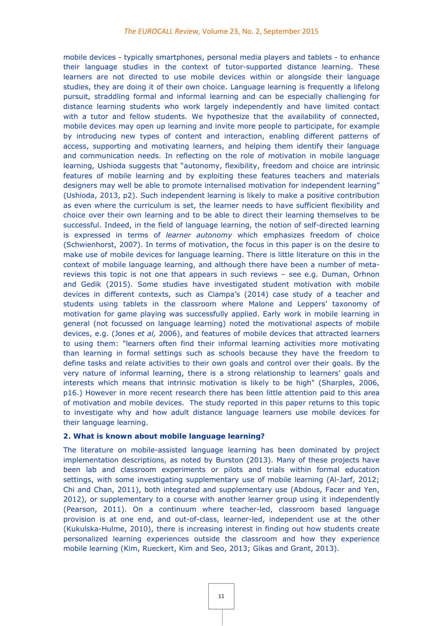mobile devices - typically smartphones, personal media players and tablets - to enhance their language studies in the context of tutor-supported distance learning. These learners are not directed to use mobile devices within or alongside their language studies, they are doing it of their own choice. Language learning is frequently a lifelong pursuit, straddling formal and informal learning and can be especially challenging for distance learning students who work largely independently and have limited contact with a tutor and fellow students. We hypothesize that the availability of connected, mobile devices may open up learning and invite more people to participate, for example by introducing new types of content and interaction, enabling different patterns of access, supporting and motivating learners, and helping them identify their language and communication needs. In reflecting on the role of motivation in mobile language learning, Ushioda suggests that "autonomy, flexibility, freedom and choice are intrinsic features of mobile learning and by exploiting these features teachers and materials designers may well be able to promote internalised motivation for independent learning" (Ushioda, 2013, p2). Such independent learning is likely to make a positive contribution as even where the curriculum is set, the learner needs to have sufficient flexibility and choice over their own learning and to be able to direct their learning themselves to be successful. Indeed, in the field of language learning, the notion of self-directed learning is expressed in terms of *learner autonomy* which emphasizes freedom of choice (Schwienhorst, 2007). In terms of motivation, the focus in this paper is on the desire to make use of mobile devices for language learning. There is little literature on this in the context of mobile language learning, and although there have been a number of metareviews this topic is not one that appears in such reviews – see e.g. Duman, Orhnon and Gedik (2015). Some studies have investigated student motivation with mobile devices in different contexts, such as Ciampa's (2014) case study of a teacher and students using tablets in the classroom where Malone and Leppers' taxonomy of motivation for game playing was successfully applied. Early work in mobile learning in general (not focussed on language learning) noted the motivational aspects of mobile devices, e.g. (Jones *et al,* 2006), and features of mobile devices that attracted learners to using them: "learners often find their informal learning activities more motivating than learning in formal settings such as schools because they have the freedom to define tasks and relate activities to their own goals and control over their goals. By the very nature of informal learning, there is a strong relationship to learners' goals and interests which means that intrinsic motivation is likely to be high" (Sharples, 2006, p16.) However in more recent research there has been little attention paid to this area of motivation and mobile devices. The study reported in this paper returns to this topic to investigate why and how adult distance language learners use mobile devices for their language learning.

#### **2. What is known about mobile language learning?**

The literature on mobile-assisted language learning has been dominated by project implementation descriptions, as noted by Burston (2013). Many of these projects have been lab and classroom experiments or pilots and trials within formal education settings, with some investigating supplementary use of mobile learning (Al-Jarf, 2012; Chi and Chan, 2011), both integrated and supplementary use (Abdous, Facer and Yen, 2012), or supplementary to a course with another learner group using it independently (Pearson, 2011). On a continuum where teacher-led, classroom based language provision is at one end, and out-of-class, learner-led, independent use at the other (Kukulska-Hulme, 2010), there is increasing interest in finding out how students create personalized learning experiences outside the classroom and how they experience mobile learning (Kim, Rueckert, Kim and Seo, 2013; Gikas and Grant, 2013).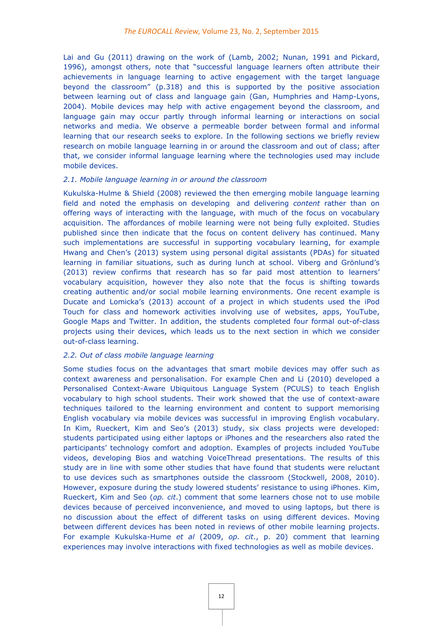Lai and Gu (2011) drawing on the work of (Lamb, 2002; Nunan, 1991 and Pickard, 1996), amongst others, note that "successful language learners often attribute their achievements in language learning to active engagement with the target language beyond the classroom" (p.318) and this is supported by the positive association between learning out of class and language gain (Gan, Humphries and Hamp-Lyons, 2004). Mobile devices may help with active engagement beyond the classroom, and language gain may occur partly through informal learning or interactions on social networks and media. We observe a permeable border between formal and informal learning that our research seeks to explore. In the following sections we briefly review research on mobile language learning in or around the classroom and out of class; after that, we consider informal language learning where the technologies used may include mobile devices.

#### *2.1. Mobile language learning in or around the classroom*

Kukulska-Hulme & Shield (2008) reviewed the then emerging mobile language learning field and noted the emphasis on developing and delivering *content* rather than on offering ways of interacting with the language, with much of the focus on vocabulary acquisition. The affordances of mobile learning were not being fully exploited. Studies published since then indicate that the focus on content delivery has continued. Many such implementations are successful in supporting vocabulary learning, for example Hwang and Chen's (2013) system using personal digital assistants (PDAs) for situated learning in familiar situations, such as during lunch at school. Viberg and Grönlund's (2013) review confirms that research has so far paid most attention to learners' vocabulary acquisition, however they also note that the focus is shifting towards creating authentic and/or social mobile learning environments. One recent example is Ducate and Lomicka's (2013) account of a project in which students used the iPod Touch for class and homework activities involving use of websites, apps, YouTube, Google Maps and Twitter. In addition, the students completed four formal out-of-class projects using their devices, which leads us to the next section in which we consider out-of-class learning.

# *2.2. Out of class mobile language learning*

Some studies focus on the advantages that smart mobile devices may offer such as context awareness and personalisation. For example Chen and Li (2010) developed a Personalised Context-Aware Ubiquitous Language System (PCULS) to teach English vocabulary to high school students. Their work showed that the use of context-aware techniques tailored to the learning environment and content to support memorising English vocabulary via mobile devices was successful in improving English vocabulary. In Kim, Rueckert, Kim and Seo's (2013) study, six class projects were developed: students participated using either laptops or iPhones and the researchers also rated the participants' technology comfort and adoption. Examples of projects included YouTube videos, developing Bios and watching VoiceThread presentations. The results of this study are in line with some other studies that have found that students were reluctant to use devices such as smartphones outside the classroom (Stockwell, 2008, 2010). However, exposure during the study lowered students' resistance to using iPhones. Kim, Rueckert, Kim and Seo (*op. cit*.) comment that some learners chose not to use mobile devices because of perceived inconvenience, and moved to using laptops, but there is no discussion about the effect of different tasks on using different devices. Moving between different devices has been noted in reviews of other mobile learning projects. For example Kukulska-Hume *et al* (2009, *op. cit*., p. 20) comment that learning experiences may involve interactions with fixed technologies as well as mobile devices.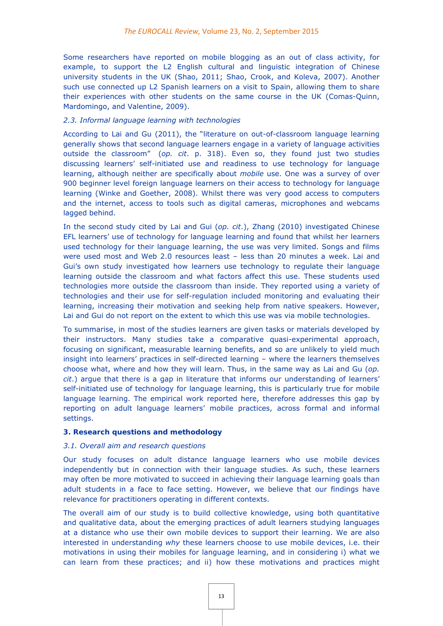Some researchers have reported on mobile blogging as an out of class activity, for example, to support the L2 English cultural and linguistic integration of Chinese university students in the UK (Shao, 2011; Shao, Crook, and Koleva, 2007). Another such use connected up L2 Spanish learners on a visit to Spain, allowing them to share their experiences with other students on the same course in the UK (Comas-Quinn, Mardomingo, and Valentine, 2009).

## *2.3. Informal language learning with technologies*

According to Lai and Gu (2011), the "literature on out-of-classroom language learning generally shows that second language learners engage in a variety of language activities outside the classroom" (*op. cit*. p. 318). Even so, they found just two studies discussing learners' self-initiated use and readiness to use technology for language learning, although neither are specifically about *mobile* use. One was a survey of over 900 beginner level foreign language learners on their access to technology for language learning (Winke and Goether, 2008). Whilst there was very good access to computers and the internet, access to tools such as digital cameras, microphones and webcams lagged behind.

In the second study cited by Lai and Gui (*op. cit*.), Zhang (2010) investigated Chinese EFL learners' use of technology for language learning and found that whilst her learners used technology for their language learning, the use was very limited. Songs and films were used most and Web 2.0 resources least – less than 20 minutes a week. Lai and Gui's own study investigated how learners use technology to regulate their language learning outside the classroom and what factors affect this use. These students used technologies more outside the classroom than inside. They reported using a variety of technologies and their use for self-regulation included monitoring and evaluating their learning, increasing their motivation and seeking help from native speakers. However, Lai and Gui do not report on the extent to which this use was via mobile technologies.

To summarise, in most of the studies learners are given tasks or materials developed by their instructors. Many studies take a comparative quasi-experimental approach, focusing on significant, measurable learning benefits, and so are unlikely to yield much insight into learners' practices in self-directed learning – where the learners themselves choose what, where and how they will learn. Thus, in the same way as Lai and Gu (*op. cit*.) argue that there is a gap in literature that informs our understanding of learners' self-initiated use of technology for language learning, this is particularly true for mobile language learning. The empirical work reported here, therefore addresses this gap by reporting on adult language learners' mobile practices, across formal and informal settings.

#### **3. Research questions and methodology**

#### *3.1. Overall aim and research questions*

Our study focuses on adult distance language learners who use mobile devices independently but in connection with their language studies. As such, these learners may often be more motivated to succeed in achieving their language learning goals than adult students in a face to face setting. However, we believe that our findings have relevance for practitioners operating in different contexts.

The overall aim of our study is to build collective knowledge, using both quantitative and qualitative data, about the emerging practices of adult learners studying languages at a distance who use their own mobile devices to support their learning. We are also interested in understanding *why* these learners choose to use mobile devices, i.e. their motivations in using their mobiles for language learning, and in considering i) what we can learn from these practices; and ii) how these motivations and practices might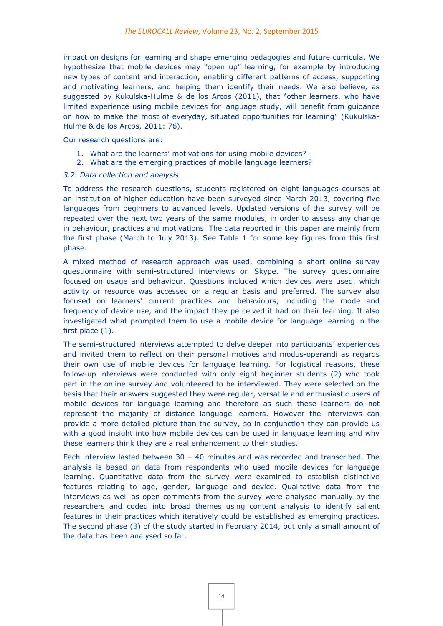impact on designs for learning and shape emerging pedagogies and future curricula. We hypothesize that mobile devices may "open up" learning, for example by introducing new types of content and interaction, enabling different patterns of access, supporting and motivating learners, and helping them identify their needs. We also believe, as suggested by Kukulska-Hulme & de los Arcos (2011), that "other learners, who have limited experience using mobile devices for language study, will benefit from guidance on how to make the most of everyday, situated opportunities for learning" (Kukulska-Hulme & de los Arcos, 2011: 76).

Our research questions are:

- 1. What are the learners' motivations for using mobile devices?
- 2. What are the emerging practices of mobile language learners?

# *3.2. Data collection and analysis*

To address the research questions, students registered on eight languages courses at an institution of higher education have been surveyed since March 2013, covering five languages from beginners to advanced levels. Updated versions of the survey will be repeated over the next two years of the same modules, in order to assess any change in behaviour, practices and motivations. The data reported in this paper are mainly from the first phase (March to July 2013). See Table 1 for some key figures from this first phase.

A mixed method of research approach was used, combining a short online survey questionnaire with semi-structured interviews on Skype. The survey questionnaire focused on usage and behaviour. Questions included which devices were used, which activity or resource was accessed on a regular basis and preferred. The survey also focused on learners' current practices and behaviours, including the mode and frequency of device use, and the impact they perceived it had on their learning. It also investigated what prompted them to use a mobile device for language learning in the first place  $(1)$ .

The semi-structured interviews attempted to delve deeper into participants' experiences and invited them to reflect on their personal motives and modus-operandi as regards their own use of mobile devices for language learning. For logistical reasons, these follow-up interviews were conducted with only eight beginner students (2) who took part in the online survey and volunteered to be interviewed. They were selected on the basis that their answers suggested they were regular, versatile and enthusiastic users of mobile devices for language learning and therefore as such these learners do not represent the majority of distance language learners. However the interviews can provide a more detailed picture than the survey, so in conjunction they can provide us with a good insight into how mobile devices can be used in language learning and why these learners think they are a real enhancement to their studies.

Each interview lasted between 30 – 40 minutes and was recorded and transcribed. The analysis is based on data from respondents who used mobile devices for language learning. Quantitative data from the survey were examined to establish distinctive features relating to age, gender, language and device. Qualitative data from the interviews as well as open comments from the survey were analysed manually by the researchers and coded into broad themes using content analysis to identify salient features in their practices which iteratively could be established as emerging practices. The second phase (3) of the study started in February 2014, but only a small amount of the data has been analysed so far.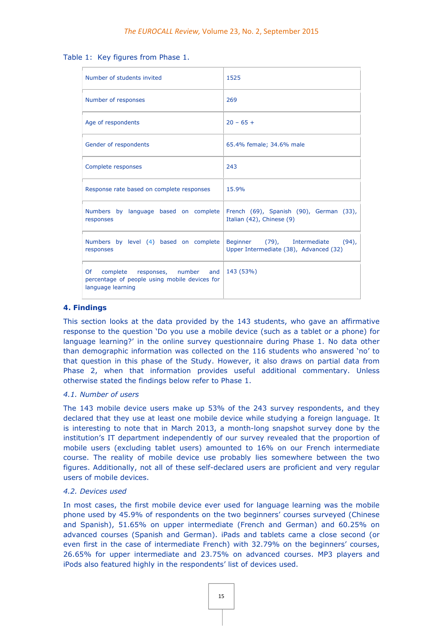Table 1: Key figures from Phase 1.

| Number of students invited                                                                                    | 1525                                                                              |
|---------------------------------------------------------------------------------------------------------------|-----------------------------------------------------------------------------------|
| Number of responses                                                                                           | 269                                                                               |
| Age of respondents                                                                                            | $20 - 65 +$                                                                       |
| Gender of respondents                                                                                         | 65.4% female; 34.6% male                                                          |
| Complete responses                                                                                            | 243                                                                               |
| Response rate based on complete responses                                                                     | 15.9%                                                                             |
| Numbers by language based on complete<br>responses                                                            | French (69), Spanish (90), German (33),<br>Italian (42), Chinese (9)              |
| Numbers by level (4) based on complete<br>responses                                                           | Beginner (79), Intermediate<br>$(94)$ ,<br>Upper Intermediate (38), Advanced (32) |
| Of<br>responses, number and<br>complete<br>percentage of people using mobile devices for<br>language learning | 143 (53%)                                                                         |

### **4. Findings**

This section looks at the data provided by the 143 students, who gave an affirmative response to the question 'Do you use a mobile device (such as a tablet or a phone) for language learning?' in the online survey questionnaire during Phase 1. No data other than demographic information was collected on the 116 students who answered 'no' to that question in this phase of the Study. However, it also draws on partial data from Phase 2, when that information provides useful additional commentary. Unless otherwise stated the findings below refer to Phase 1.

#### *4.1. Number of users*

The 143 mobile device users make up 53% of the 243 survey respondents, and they declared that they use at least one mobile device while studying a foreign language. It is interesting to note that in March 2013, a month-long snapshot survey done by the institution's IT department independently of our survey revealed that the proportion of mobile users (excluding tablet users) amounted to 16% on our French intermediate course. The reality of mobile device use probably lies somewhere between the two figures. Additionally, not all of these self-declared users are proficient and very regular users of mobile devices.

#### *4.2. Devices used*

In most cases, the first mobile device ever used for language learning was the mobile phone used by 45.9% of respondents on the two beginners' courses surveyed (Chinese and Spanish), 51.65% on upper intermediate (French and German) and 60.25% on advanced courses (Spanish and German). iPads and tablets came a close second (or even first in the case of intermediate French) with 32.79% on the beginners' courses, 26.65% for upper intermediate and 23.75% on advanced courses. MP3 players and iPods also featured highly in the respondents' list of devices used.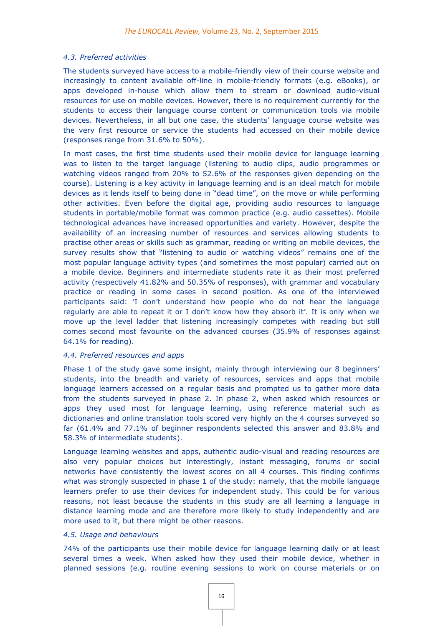#### *4.3. Preferred activities*

The students surveyed have access to a mobile-friendly view of their course website and increasingly to content available off-line in mobile-friendly formats (e.g. eBooks), or apps developed in-house which allow them to stream or download audio-visual resources for use on mobile devices. However, there is no requirement currently for the students to access their language course content or communication tools via mobile devices. Nevertheless, in all but one case, the students' language course website was the very first resource or service the students had accessed on their mobile device (responses range from 31.6% to 50%).

In most cases, the first time students used their mobile device for language learning was to listen to the target language (listening to audio clips, audio programmes or watching videos ranged from 20% to 52.6% of the responses given depending on the course). Listening is a key activity in language learning and is an ideal match for mobile devices as it lends itself to being done in "dead time", on the move or while performing other activities. Even before the digital age, providing audio resources to language students in portable/mobile format was common practice (e.g. audio cassettes). Mobile technological advances have increased opportunities and variety. However, despite the availability of an increasing number of resources and services allowing students to practise other areas or skills such as grammar, reading or writing on mobile devices, the survey results show that "listening to audio or watching videos" remains one of the most popular language activity types (and sometimes the most popular) carried out on a mobile device. Beginners and intermediate students rate it as their most preferred activity (respectively 41.82% and 50.35% of responses), with grammar and vocabulary practice or reading in some cases in second position. As one of the interviewed participants said: 'I don't understand how people who do not hear the language regularly are able to repeat it or I don't know how they absorb it'. It is only when we move up the level ladder that listening increasingly competes with reading but still comes second most favourite on the advanced courses (35.9% of responses against 64.1% for reading).

# *4.4. Preferred resources and apps*

Phase 1 of the study gave some insight, mainly through interviewing our 8 beginners' students, into the breadth and variety of resources, services and apps that mobile language learners accessed on a regular basis and prompted us to gather more data from the students surveyed in phase 2. In phase 2, when asked which resources or apps they used most for language learning, using reference material such as dictionaries and online translation tools scored very highly on the 4 courses surveyed so far (61.4% and 77.1% of beginner respondents selected this answer and 83.8% and 58.3% of intermediate students).

Language learning websites and apps, authentic audio-visual and reading resources are also very popular choices but interestingly, instant messaging, forums or social networks have consistently the lowest scores on all 4 courses. This finding confirms what was strongly suspected in phase 1 of the study: namely, that the mobile language learners prefer to use their devices for independent study. This could be for various reasons, not least because the students in this study are all learning a language in distance learning mode and are therefore more likely to study independently and are more used to it, but there might be other reasons.

#### *4.5. Usage and behaviours*

74% of the participants use their mobile device for language learning daily or at least several times a week. When asked how they used their mobile device, whether in planned sessions (e.g. routine evening sessions to work on course materials or on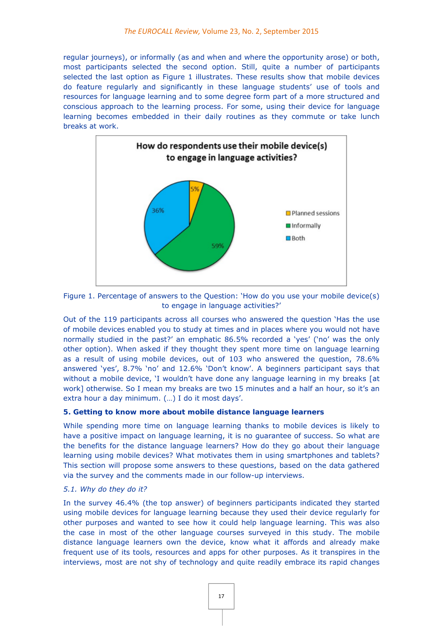regular journeys), or informally (as and when and where the opportunity arose) or both, most participants selected the second option. Still, quite a number of participants selected the last option as Figure 1 illustrates. These results show that mobile devices do feature regularly and significantly in these language students' use of tools and resources for language learning and to some degree form part of a more structured and conscious approach to the learning process. For some, using their device for language learning becomes embedded in their daily routines as they commute or take lunch breaks at work.



Figure 1. Percentage of answers to the Question: 'How do you use your mobile device(s) to engage in language activities?'

Out of the 119 participants across all courses who answered the question 'Has the use of mobile devices enabled you to study at times and in places where you would not have normally studied in the past?' an emphatic 86.5% recorded a 'yes' ('no' was the only other option). When asked if they thought they spent more time on language learning as a result of using mobile devices, out of 103 who answered the question, 78.6% answered 'yes', 8.7% 'no' and 12.6% 'Don't know'. A beginners participant says that without a mobile device, 'I wouldn't have done any language learning in my breaks [at work] otherwise. So I mean my breaks are two 15 minutes and a half an hour, so it's an extra hour a day minimum. (…) I do it most days'.

# **5. Getting to know more about mobile distance language learners**

While spending more time on language learning thanks to mobile devices is likely to have a positive impact on language learning, it is no guarantee of success. So what are the benefits for the distance language learners? How do they go about their language learning using mobile devices? What motivates them in using smartphones and tablets? This section will propose some answers to these questions, based on the data gathered via the survey and the comments made in our follow-up interviews.

# *5.1. Why do they do it?*

In the survey 46.4% (the top answer) of beginners participants indicated they started using mobile devices for language learning because they used their device regularly for other purposes and wanted to see how it could help language learning. This was also the case in most of the other language courses surveyed in this study. The mobile distance language learners own the device, know what it affords and already make frequent use of its tools, resources and apps for other purposes. As it transpires in the interviews, most are not shy of technology and quite readily embrace its rapid changes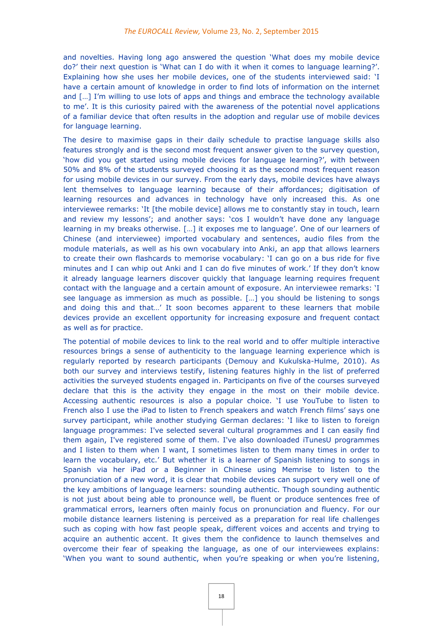and novelties. Having long ago answered the question 'What does my mobile device do?' their next question is 'What can I do with it when it comes to language learning?'. Explaining how she uses her mobile devices, one of the students interviewed said: 'I have a certain amount of knowledge in order to find lots of information on the internet and [...] I'm willing to use lots of apps and things and embrace the technology available to me'. It is this curiosity paired with the awareness of the potential novel applications of a familiar device that often results in the adoption and regular use of mobile devices for language learning.

The desire to maximise gaps in their daily schedule to practise language skills also features strongly and is the second most frequent answer given to the survey question, 'how did you get started using mobile devices for language learning?', with between 50% and 8% of the students surveyed choosing it as the second most frequent reason for using mobile devices in our survey. From the early days, mobile devices have always lent themselves to language learning because of their affordances; digitisation of learning resources and advances in technology have only increased this. As one interviewee remarks: 'It [the mobile device] allows me to constantly stay in touch, learn and review my lessons'; and another says: 'cos I wouldn't have done any language learning in my breaks otherwise. […] it exposes me to language'. One of our learners of Chinese (and interviewee) imported vocabulary and sentences, audio files from the module materials, as well as his own vocabulary into Anki, an app that allows learners to create their own flashcards to memorise vocabulary: 'I can go on a bus ride for five minutes and I can whip out Anki and I can do five minutes of work.' If they don't know it already language learners discover quickly that language learning requires frequent contact with the language and a certain amount of exposure. An interviewee remarks: 'I see language as immersion as much as possible. […] you should be listening to songs and doing this and that…' It soon becomes apparent to these learners that mobile devices provide an excellent opportunity for increasing exposure and frequent contact as well as for practice.

The potential of mobile devices to link to the real world and to offer multiple interactive resources brings a sense of authenticity to the language learning experience which is regularly reported by research participants (Demouy and Kukulska-Hulme, 2010). As both our survey and interviews testify, listening features highly in the list of preferred activities the surveyed students engaged in. Participants on five of the courses surveyed declare that this is the activity they engage in the most on their mobile device. Accessing authentic resources is also a popular choice. 'I use YouTube to listen to French also I use the iPad to listen to French speakers and watch French films' says one survey participant, while another studying German declares: 'I like to listen to foreign language programmes: I've selected several cultural programmes and I can easily find them again, I've registered some of them. I've also downloaded iTunesU programmes and I listen to them when I want, I sometimes listen to them many times in order to learn the vocabulary, etc.' But whether it is a learner of Spanish listening to songs in Spanish via her iPad or a Beginner in Chinese using Memrise to listen to the pronunciation of a new word, it is clear that mobile devices can support very well one of the key ambitions of language learners: sounding authentic. Though sounding authentic is not just about being able to pronounce well, be fluent or produce sentences free of grammatical errors, learners often mainly focus on pronunciation and fluency. For our mobile distance learners listening is perceived as a preparation for real life challenges such as coping with how fast people speak, different voices and accents and trying to acquire an authentic accent. It gives them the confidence to launch themselves and overcome their fear of speaking the language, as one of our interviewees explains: 'When you want to sound authentic, when you're speaking or when you're listening,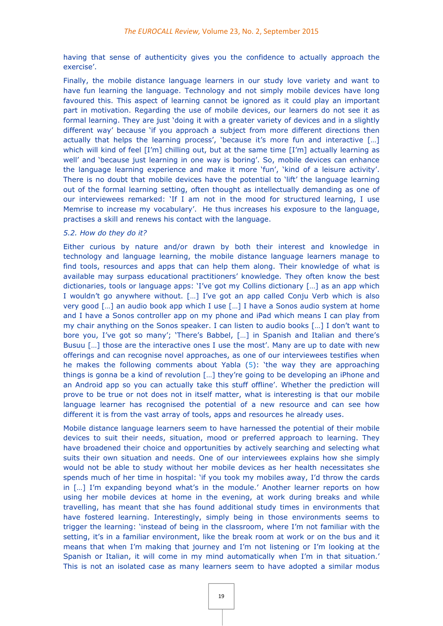having that sense of authenticity gives you the confidence to actually approach the exercise'.

Finally, the mobile distance language learners in our study love variety and want to have fun learning the language. Technology and not simply mobile devices have long favoured this. This aspect of learning cannot be ignored as it could play an important part in motivation. Regarding the use of mobile devices, our learners do not see it as formal learning. They are just 'doing it with a greater variety of devices and in a slightly different way' because 'if you approach a subject from more different directions then actually that helps the learning process', 'because it's more fun and interactive [...] which will kind of feel  $[I'm]$  chilling out, but at the same time  $[I'm]$  actually learning as well' and 'because just learning in one way is boring'. So, mobile devices can enhance the language learning experience and make it more 'fun', 'kind of a leisure activity'. There is no doubt that mobile devices have the potential to 'lift' the language learning out of the formal learning setting, often thought as intellectually demanding as one of our interviewees remarked: 'If I am not in the mood for structured learning, I use Memrise to increase my vocabulary'. He thus increases his exposure to the language, practises a skill and renews his contact with the language.

#### *5.2. How do they do it?*

Either curious by nature and/or drawn by both their interest and knowledge in technology and language learning, the mobile distance language learners manage to find tools, resources and apps that can help them along. Their knowledge of what is available may surpass educational practitioners' knowledge. They often know the best dictionaries, tools or language apps: 'I've got my Collins dictionary […] as an app which I wouldn't go anywhere without. […] I've got an app called Conju Verb which is also very good […] an audio book app which I use […] I have a Sonos audio system at home and I have a Sonos controller app on my phone and iPad which means I can play from my chair anything on the Sonos speaker. I can listen to audio books […] I don't want to bore you, I've got so many'; 'There's Babbel, […] in Spanish and Italian and there's Busuu [...] those are the interactive ones I use the most'. Many are up to date with new offerings and can recognise novel approaches, as one of our interviewees testifies when he makes the following comments about Yabla (5): 'the way they are approaching things is gonna be a kind of revolution […] they're going to be developing an iPhone and an Android app so you can actually take this stuff offline'. Whether the prediction will prove to be true or not does not in itself matter, what is interesting is that our mobile language learner has recognised the potential of a new resource and can see how different it is from the vast array of tools, apps and resources he already uses.

Mobile distance language learners seem to have harnessed the potential of their mobile devices to suit their needs, situation, mood or preferred approach to learning. They have broadened their choice and opportunities by actively searching and selecting what suits their own situation and needs. One of our interviewees explains how she simply would not be able to study without her mobile devices as her health necessitates she spends much of her time in hospital: 'if you took my mobiles away, I'd throw the cards in […] I'm expanding beyond what's in the module.' Another learner reports on how using her mobile devices at home in the evening, at work during breaks and while travelling, has meant that she has found additional study times in environments that have fostered learning. Interestingly, simply being in those environments seems to trigger the learning: 'instead of being in the classroom, where I'm not familiar with the setting, it's in a familiar environment, like the break room at work or on the bus and it means that when I'm making that journey and I'm not listening or I'm looking at the Spanish or Italian, it will come in my mind automatically when I'm in that situation.' This is not an isolated case as many learners seem to have adopted a similar modus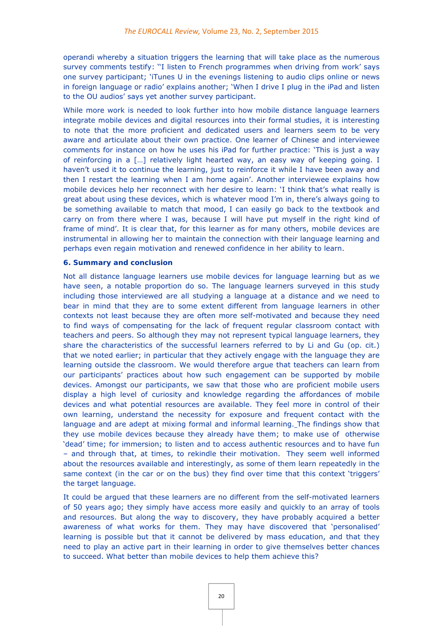operandi whereby a situation triggers the learning that will take place as the numerous survey comments testify: ''I listen to French programmes when driving from work' says one survey participant; 'iTunes U in the evenings listening to audio clips online or news in foreign language or radio' explains another; 'When I drive I plug in the iPad and listen to the OU audios' says yet another survey participant.

While more work is needed to look further into how mobile distance language learners integrate mobile devices and digital resources into their formal studies, it is interesting to note that the more proficient and dedicated users and learners seem to be very aware and articulate about their own practice. One learner of Chinese and interviewee comments for instance on how he uses his iPad for further practice: 'This is just a way of reinforcing in a […] relatively light hearted way, an easy way of keeping going. I haven't used it to continue the learning, just to reinforce it while I have been away and then I restart the learning when I am home again'. Another interviewee explains how mobile devices help her reconnect with her desire to learn: 'I think that's what really is great about using these devices, which is whatever mood I'm in, there's always going to be something available to match that mood, I can easily go back to the textbook and carry on from there where I was, because I will have put myself in the right kind of frame of mind'. It is clear that, for this learner as for many others, mobile devices are instrumental in allowing her to maintain the connection with their language learning and perhaps even regain motivation and renewed confidence in her ability to learn.

#### **6. Summary and conclusion**

Not all distance language learners use mobile devices for language learning but as we have seen, a notable proportion do so. The language learners surveyed in this study including those interviewed are all studying a language at a distance and we need to bear in mind that they are to some extent different from language learners in other contexts not least because they are often more self-motivated and because they need to find ways of compensating for the lack of frequent regular classroom contact with teachers and peers. So although they may not represent typical language learners, they share the characteristics of the successful learners referred to by Li and Gu (op. cit.) that we noted earlier; in particular that they actively engage with the language they are learning outside the classroom. We would therefore argue that teachers can learn from our participants' practices about how such engagement can be supported by mobile devices. Amongst our participants, we saw that those who are proficient mobile users display a high level of curiosity and knowledge regarding the affordances of mobile devices and what potential resources are available. They feel more in control of their own learning, understand the necessity for exposure and frequent contact with the language and are adept at mixing formal and informal learning. The findings show that they use mobile devices because they already have them; to make use of otherwise 'dead' time; for immersion; to listen and to access authentic resources and to have fun – and through that, at times, to rekindle their motivation. They seem well informed about the resources available and interestingly, as some of them learn repeatedly in the same context (in the car or on the bus) they find over time that this context 'triggers' the target language.

It could be argued that these learners are no different from the self-motivated learners of 50 years ago; they simply have access more easily and quickly to an array of tools and resources. But along the way to discovery, they have probably acquired a better awareness of what works for them. They may have discovered that 'personalised' learning is possible but that it cannot be delivered by mass education, and that they need to play an active part in their learning in order to give themselves better chances to succeed. What better than mobile devices to help them achieve this?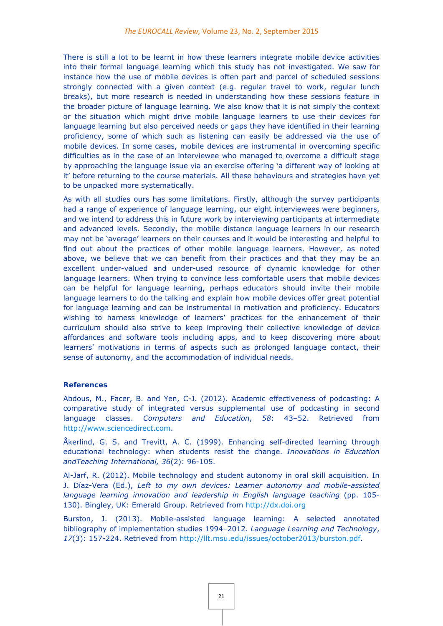There is still a lot to be learnt in how these learners integrate mobile device activities into their formal language learning which this study has not investigated. We saw for instance how the use of mobile devices is often part and parcel of scheduled sessions strongly connected with a given context (e.g. regular travel to work, regular lunch breaks), but more research is needed in understanding how these sessions feature in the broader picture of language learning. We also know that it is not simply the context or the situation which might drive mobile language learners to use their devices for language learning but also perceived needs or gaps they have identified in their learning proficiency, some of which such as listening can easily be addressed via the use of mobile devices. In some cases, mobile devices are instrumental in overcoming specific difficulties as in the case of an interviewee who managed to overcome a difficult stage by approaching the language issue via an exercise offering 'a different way of looking at it' before returning to the course materials. All these behaviours and strategies have yet to be unpacked more systematically.

As with all studies ours has some limitations. Firstly, although the survey participants had a range of experience of language learning, our eight interviewees were beginners, and we intend to address this in future work by interviewing participants at intermediate and advanced levels. Secondly, the mobile distance language learners in our research may not be 'average' learners on their courses and it would be interesting and helpful to find out about the practices of other mobile language learners. However, as noted above, we believe that we can benefit from their practices and that they may be an excellent under-valued and under-used resource of dynamic knowledge for other language learners. When trying to convince less comfortable users that mobile devices can be helpful for language learning, perhaps educators should invite their mobile language learners to do the talking and explain how mobile devices offer great potential for language learning and can be instrumental in motivation and proficiency. Educators wishing to harness knowledge of learners' practices for the enhancement of their curriculum should also strive to keep improving their collective knowledge of device affordances and software tools including apps, and to keep discovering more about learners' motivations in terms of aspects such as prolonged language contact, their sense of autonomy, and the accommodation of individual needs.

#### **References**

Abdous, M., Facer, B. and Yen, C-J. (2012). Academic effectiveness of podcasting: A comparative study of integrated versus supplemental use of podcasting in second language classes. *Computers and Education*, *58*: 43–52. Retrieved from http://www.sciencedirect.com.

Åkerlind, G. S. and Trevitt, A. C. (1999). Enhancing self-directed learning through educational technology: when students resist the change. *Innovations in Education andTeaching International, 36*(2): 96-105.

Al-Jarf, R. (2012). Mobile technology and student autonomy in oral skill acquisition. In J. Díaz-Vera (Ed.), *Left to my own devices: Learner autonomy and mobile-assisted*  language learning innovation and leadership in English language teaching (pp. 105-130). Bingley, UK: Emerald Group. Retrieved from http://dx.doi.org

Burston, J. (2013). Mobile-assisted language learning: A selected annotated bibliography of implementation studies 1994–2012. *Language Learning and Technology*, *17*(3): 157-224. Retrieved from http://llt.msu.edu/issues/october2013/burston.pdf.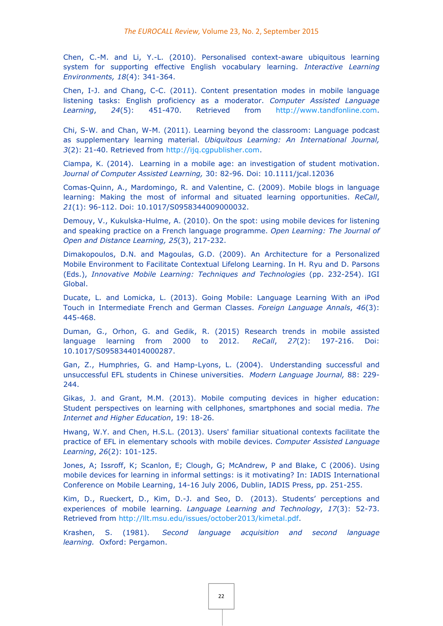Chen, C.-M. and Li, Y.-L. (2010). Personalised context-aware ubiquitous learning system for supporting effective English vocabulary learning. *Interactive Learning Environments, 18*(4): 341-364.

Chen, I-J. and Chang, C-C. (2011). Content presentation modes in mobile language listening tasks: English proficiency as a moderator. *Computer Assisted Language Learning*, *24*(5): 451-470. Retrieved from http://www.tandfonline.com.

Chi, S-W. and Chan, W-M. (2011). Learning beyond the classroom: Language podcast as supplementary learning material. *Ubiquitous Learning: An International Journal, 3*(2): 21-40. Retrieved from http://ijq.cgpublisher.com.

Ciampa, K. (2014). Learning in a mobile age: an investigation of student motivation. *Journal of Computer Assisted Learning,* 30: 82-96. Doi: 10.1111/jcal.12036

Comas-Quinn, A., Mardomingo, R. and Valentine, C. (2009). Mobile blogs in language learning: Making the most of informal and situated learning opportunities. *ReCall*, *21*(1): 96-112. Doi: 10.1017/S0958344009000032.

Demouy, V., Kukulska-Hulme, A. (2010). On the spot: using mobile devices for listening and speaking practice on a French language programme. *Open Learning: The Journal of Open and Distance Learning, 25*(3), 217-232.

Dimakopoulos, D.N. and Magoulas, G.D. (2009). An Architecture for a Personalized Mobile Environment to Facilitate Contextual Lifelong Learning. In H. Ryu and D. Parsons (Eds.), *Innovative Mobile Learning: Techniques and Technologies* (pp. 232-254). IGI Global.

Ducate, L. and Lomicka, L. (2013). Going Mobile: Language Learning With an iPod Touch in Intermediate French and German Classes. *Foreign Language Annals*, *46*(3): 445-468.

Duman, G., Orhon, G. and Gedik, R. (2015) Research trends in mobile assisted language learning from 2000 to 2012. *ReCall*, *27*(2): 197-216. Doi: 10.1017/S0958344014000287.

Gan, Z., Humphries, G. and Hamp-Lyons, L. (2004). Understanding successful and unsuccessful EFL students in Chinese universities. *Modern Language Journal,* 88: 229- 244.

Gikas, J. and Grant, M.M. (2013). Mobile computing devices in higher education: Student perspectives on learning with cellphones, smartphones and social media. *The Internet and Higher Education*, 19: 18-26.

Hwang, W.Y. and Chen, H.S.L. (2013). Users' familiar situational contexts facilitate the practice of EFL in elementary schools with mobile devices. *Computer Assisted Language Learning*, *26*(2): 101-125.

Jones, A; Issroff, K; Scanlon, E; Clough, G; McAndrew, P and Blake, C (2006). Using mobile devices for learning in informal settings: is it motivating? In: IADIS International Conference on Mobile Learning, 14-16 July 2006, Dublin, IADIS Press, pp. 251-255.

Kim, D., Rueckert, D., Kim, D.-J. and Seo, D. (2013). Students' perceptions and experiences of mobile learning. *Language Learning and Technology*, *17*(3): 52-73. Retrieved from http://llt.msu.edu/issues/october2013/kimetal.pdf.

Krashen, S. (1981). *Second language acquisition and second language learning.* Oxford: Pergamon.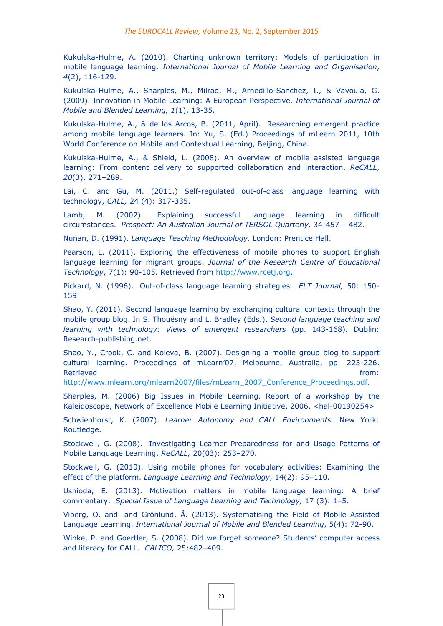Kukulska-Hulme, A. (2010). Charting unknown territory: Models of participation in mobile language learning. *International Journal of Mobile Learning and Organisation*, *4*(2), 116-129.

Kukulska-Hulme, A., Sharples, M., Milrad, M., Arnedillo-Sanchez, I., & Vavoula, G. (2009). Innovation in Mobile Learning: A European Perspective. *International Journal of Mobile and Blended Learning, 1*(1), 13-35.

Kukulska-Hulme, A., & de los Arcos, B. (2011, April). Researching emergent practice among mobile language learners. In: Yu, S. (Ed.) Proceedings of mLearn 2011, 10th World Conference on Mobile and Contextual Learning, Beijing, China.

Kukulska-Hulme, A., & Shield, L. (2008). An overview of mobile assisted language learning: From content delivery to supported collaboration and interaction. *ReCALL*, *20*(3), 271–289.

Lai, C. and Gu, M. (2011.) Self-regulated out-of-class language learning with technology, *CALL,* 24 (4): 317-335.

Lamb, M. (2002). Explaining successful language learning in difficult circumstances. *Prospect: An Australian Journal of TERSOL Quarterly,* 34:457 – 482.

Nunan, D. (1991). *Language Teaching Methodology.* London: Prentice Hall.

Pearson, L. (2011). Exploring the effectiveness of mobile phones to support English language learning for migrant groups. *Journal of the Research Centre of Educational Technology*, 7(1): 90-105. Retrieved from http://www.rcetj.org.

Pickard, N. (1996). Out-of-class language learning strategies. *ELT Journal,* 50: 150- 159.

Shao, Y. (2011). Second language learning by exchanging cultural contexts through the mobile group blog. In S. Thouësny and L. Bradley (Eds.), *Second language teaching and learning with technology: Views of emergent researchers* (pp. 143-168). Dublin: Research-publishing.net.

Shao, Y., Crook, C. and Koleva, B. (2007). Designing a mobile group blog to support cultural learning. Proceedings of mLearn'07, Melbourne, Australia, pp. 223-226. Retrieved from:

http://www.mlearn.org/mlearn2007/files/mLearn\_2007\_Conference\_Proceedings.pdf.

Sharples, M. (2006) Big Issues in Mobile Learning. Report of a workshop by the Kaleidoscope, Network of Excellence Mobile Learning Initiative. 2006. <hal-00190254>

Schwienhorst, K. (2007). *Learner Autonomy and CALL Environments.* New York: Routledge.

Stockwell, G. (2008). Investigating Learner Preparedness for and Usage Patterns of Mobile Language Learning. *ReCALL,* 20(03): 253–270.

Stockwell, G. (2010). Using mobile phones for vocabulary activities: Examining the effect of the platform. *Language Learning and Technology*, 14(2): 95–110.

Ushioda, E. (2013). Motivation matters in mobile language learning: A brief commentary. *Special Issue of Language Learning and Technology,* 17 (3): 1–5.

Viberg, O. and and Grönlund, Å. (2013). Systematising the Field of Mobile Assisted Language Learning. *International Journal of Mobile and Blended Learning*, 5(4): 72-90.

Winke, P. and Goertler, S. (2008). Did we forget someone? Students' computer access and literacy for CALL. *CALICO,* 25:482–409.